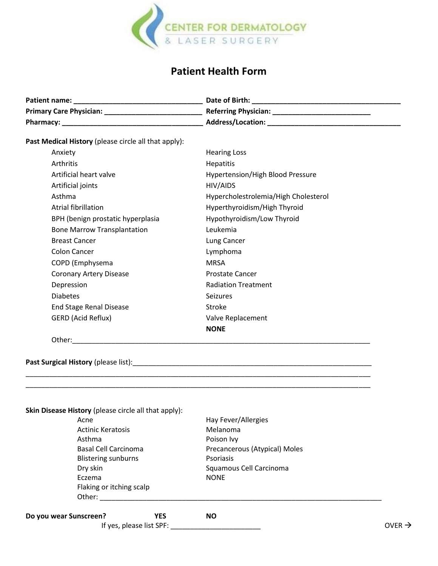

## **Patient Health Form**

| Patient name:                  | Date of Birth:              |
|--------------------------------|-----------------------------|
| <b>Primary Care Physician:</b> | <b>Referring Physician:</b> |
| <b>Pharmacy:</b>               | <b>Address/Location:</b>    |

**Past Medical History** (please circle all that apply):

| Anxiety                            | <b>Hearing Loss</b>                     |
|------------------------------------|-----------------------------------------|
| Arthritis                          | <b>Hepatitis</b>                        |
| Artificial heart valve             | <b>Hypertension/High Blood Pressure</b> |
| Artificial joints                  | HIV/AIDS                                |
| Asthma                             | Hypercholestrolemia/High Cholesterol    |
| Atrial fibrillation                | Hyperthyroidism/High Thyroid            |
| BPH (benign prostatic hyperplasia  | Hypothyroidism/Low Thyroid              |
| <b>Bone Marrow Transplantation</b> | Leukemia                                |
| <b>Breast Cancer</b>               | Lung Cancer                             |
| <b>Colon Cancer</b>                | Lymphoma                                |
| COPD (Emphysema                    | <b>MRSA</b>                             |
| <b>Coronary Artery Disease</b>     | Prostate Cancer                         |
| Depression                         | <b>Radiation Treatment</b>              |
| <b>Diabetes</b>                    | <b>Seizures</b>                         |
| <b>End Stage Renal Disease</b>     | Stroke                                  |
| GERD (Acid Reflux)                 | Valve Replacement                       |
|                                    | <b>NONE</b>                             |
|                                    |                                         |

Other:\_\_\_\_\_\_\_\_\_\_\_\_\_\_\_\_\_\_\_\_\_\_\_\_\_\_\_\_\_\_\_\_\_\_\_\_\_\_\_\_\_\_\_\_\_\_\_\_\_\_\_\_\_\_\_\_\_\_\_\_\_\_\_\_\_\_\_\_\_\_\_\_\_\_\_\_

**Past Surgical History** (please list):\_\_\_\_\_\_\_\_\_\_\_\_\_\_\_\_\_\_\_\_\_\_\_\_\_\_\_\_\_\_\_\_\_\_\_\_\_\_\_\_\_\_\_\_\_\_\_\_\_\_\_\_\_\_\_\_\_\_\_\_\_

| Acne                                 | Hay Fever/Allergies           |                    |
|--------------------------------------|-------------------------------|--------------------|
| <b>Actinic Keratosis</b>             | Melanoma                      |                    |
| Asthma                               | Poison Ivy                    |                    |
| Basal Cell Carcinoma                 | Precancerous (Atypical) Moles |                    |
| <b>Blistering sunburns</b>           | Psoriasis                     |                    |
| Dry skin                             | Squamous Cell Carcinoma       |                    |
| Eczema                               | <b>NONE</b>                   |                    |
| Flaking or itching scalp             |                               |                    |
| Other:                               |                               |                    |
| Do you wear Sunscreen?<br><b>YES</b> | <b>NO</b>                     |                    |
| If yes, please list SPF:             |                               | OVER $\rightarrow$ |

\_\_\_\_\_\_\_\_\_\_\_\_\_\_\_\_\_\_\_\_\_\_\_\_\_\_\_\_\_\_\_\_\_\_\_\_\_\_\_\_\_\_\_\_\_\_\_\_\_\_\_\_\_\_\_\_\_\_\_\_\_\_\_\_\_\_\_\_\_\_\_\_\_\_\_\_\_\_\_\_\_\_\_\_\_\_\_\_ \_\_\_\_\_\_\_\_\_\_\_\_\_\_\_\_\_\_\_\_\_\_\_\_\_\_\_\_\_\_\_\_\_\_\_\_\_\_\_\_\_\_\_\_\_\_\_\_\_\_\_\_\_\_\_\_\_\_\_\_\_\_\_\_\_\_\_\_\_\_\_\_\_\_\_\_\_\_\_\_\_\_\_\_\_\_\_\_